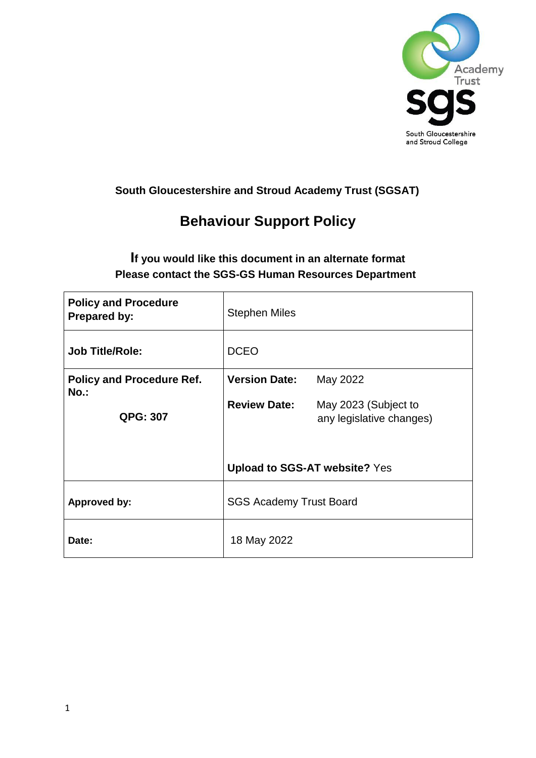

# **South Gloucestershire and Stroud Academy Trust (SGSAT)**

# **Behaviour Support Policy**

# **If you would like this document in an alternate format Please contact the SGS-GS Human Resources Department**

| <b>Policy and Procedure</b><br><b>Prepared by:</b> | <b>Stephen Miles</b>                 |                                                  |  |
|----------------------------------------------------|--------------------------------------|--------------------------------------------------|--|
| <b>Job Title/Role:</b>                             | <b>DCEO</b>                          |                                                  |  |
| <b>Policy and Procedure Ref.</b><br>$No.$ :        | <b>Version Date:</b>                 | May 2022                                         |  |
| <b>QPG: 307</b>                                    | <b>Review Date:</b>                  | May 2023 (Subject to<br>any legislative changes) |  |
|                                                    | <b>Upload to SGS-AT website? Yes</b> |                                                  |  |
| <b>Approved by:</b>                                | <b>SGS Academy Trust Board</b>       |                                                  |  |
| Date:                                              | 18 May 2022                          |                                                  |  |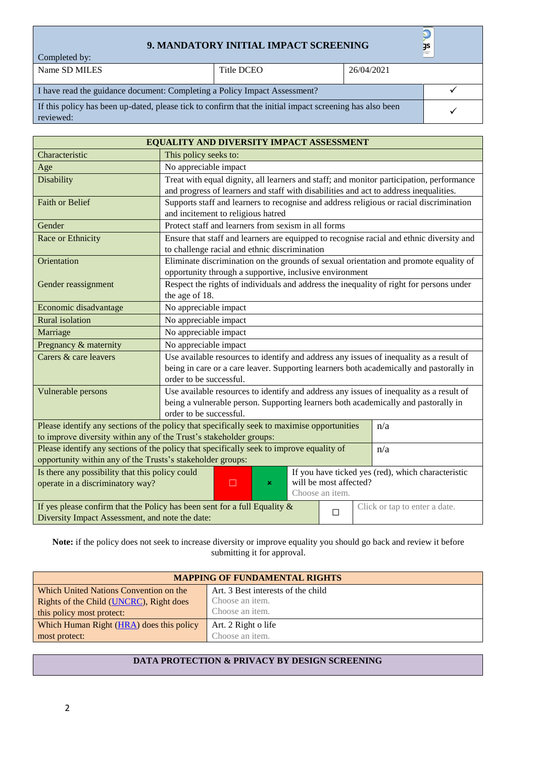#### **9. MANDATORY INITIAL IMPACT SCREENING**

✓

Completed by:

Name SD MILES Title DCEO 26/04/2021

I have read the guidance document: Completing a Policy Impact Assessment? ✓ If this policy has been up-dated, please tick to confirm that the initial impact screening has also been reviewed:

| EQUALITY AND DIVERSITY IMPACT ASSESSMENT                                                                                                                                                              |                                                                                                                                                                                                               |     |                               |  |  |
|-------------------------------------------------------------------------------------------------------------------------------------------------------------------------------------------------------|---------------------------------------------------------------------------------------------------------------------------------------------------------------------------------------------------------------|-----|-------------------------------|--|--|
| Characteristic                                                                                                                                                                                        | This policy seeks to:                                                                                                                                                                                         |     |                               |  |  |
| Age                                                                                                                                                                                                   | No appreciable impact                                                                                                                                                                                         |     |                               |  |  |
| Disability                                                                                                                                                                                            | Treat with equal dignity, all learners and staff; and monitor participation, performance<br>and progress of learners and staff with disabilities and act to address inequalities.                             |     |                               |  |  |
| <b>Faith or Belief</b>                                                                                                                                                                                | Supports staff and learners to recognise and address religious or racial discrimination<br>and incitement to religious hatred                                                                                 |     |                               |  |  |
| Gender                                                                                                                                                                                                | Protect staff and learners from sexism in all forms                                                                                                                                                           |     |                               |  |  |
| Race or Ethnicity                                                                                                                                                                                     | Ensure that staff and learners are equipped to recognise racial and ethnic diversity and<br>to challenge racial and ethnic discrimination                                                                     |     |                               |  |  |
| Orientation                                                                                                                                                                                           | Eliminate discrimination on the grounds of sexual orientation and promote equality of<br>opportunity through a supportive, inclusive environment                                                              |     |                               |  |  |
| Gender reassignment                                                                                                                                                                                   | Respect the rights of individuals and address the inequality of right for persons under<br>the age of 18.                                                                                                     |     |                               |  |  |
| Economic disadvantage                                                                                                                                                                                 | No appreciable impact                                                                                                                                                                                         |     |                               |  |  |
| <b>Rural</b> isolation                                                                                                                                                                                | No appreciable impact                                                                                                                                                                                         |     |                               |  |  |
| Marriage                                                                                                                                                                                              | No appreciable impact                                                                                                                                                                                         |     |                               |  |  |
| Pregnancy & maternity                                                                                                                                                                                 | No appreciable impact                                                                                                                                                                                         |     |                               |  |  |
| Carers & care leavers                                                                                                                                                                                 | Use available resources to identify and address any issues of inequality as a result of<br>being in care or a care leaver. Supporting learners both academically and pastorally in<br>order to be successful. |     |                               |  |  |
| Vulnerable persons                                                                                                                                                                                    | Use available resources to identify and address any issues of inequality as a result of<br>being a vulnerable person. Supporting learners both academically and pastorally in<br>order to be successful.      |     |                               |  |  |
| Please identify any sections of the policy that specifically seek to maximise opportunities<br>to improve diversity within any of the Trust's stakeholder groups:                                     |                                                                                                                                                                                                               | n/a |                               |  |  |
| Please identify any sections of the policy that specifically seek to improve equality of<br>opportunity within any of the Trusts's stakeholder groups:                                                |                                                                                                                                                                                                               | n/a |                               |  |  |
| Is there any possibility that this policy could<br>If you have ticked yes (red), which characteristic<br>will be most affected?<br>operate in a discriminatory way?<br>$\Box$<br>×<br>Choose an item. |                                                                                                                                                                                                               |     |                               |  |  |
| If yes please confirm that the Policy has been sent for a full Equality $\&$<br>□                                                                                                                     |                                                                                                                                                                                                               |     | Click or tap to enter a date. |  |  |
| Diversity Impact Assessment, and note the date:                                                                                                                                                       |                                                                                                                                                                                                               |     |                               |  |  |

**Note:** if the policy does not seek to increase diversity or improve equality you should go back and review it before submitting it for approval.

| <b>MAPPING OF FUNDAMENTAL RIGHTS</b>     |                                    |  |
|------------------------------------------|------------------------------------|--|
| Which United Nations Convention on the   | Art. 3 Best interests of the child |  |
| Rights of the Child (UNCRC), Right does  | Choose an item.                    |  |
| this policy most protect:                | Choose an item.                    |  |
| Which Human Right (HRA) does this policy | Art. 2 Right o life                |  |
| most protect:                            | Choose an <i>item</i> .            |  |

#### **DATA PROTECTION & PRIVACY BY DESIGN SCREENING**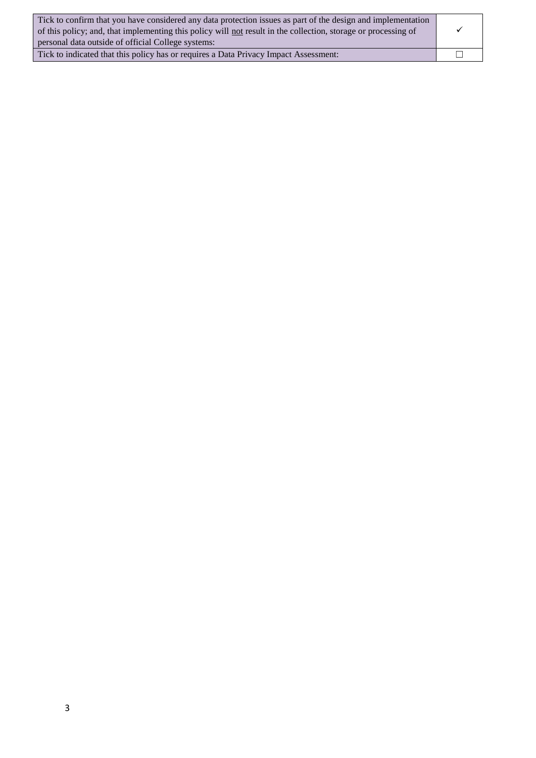| Tick to confirm that you have considered any data protection issues as part of the design and implementation<br>of this policy; and, that implementing this policy will not result in the collection, storage or processing of<br>personal data outside of official College systems: |   |
|--------------------------------------------------------------------------------------------------------------------------------------------------------------------------------------------------------------------------------------------------------------------------------------|---|
| Tick to indicated that this policy has or requires a Data Privacy Impact Assessment:                                                                                                                                                                                                 | П |

3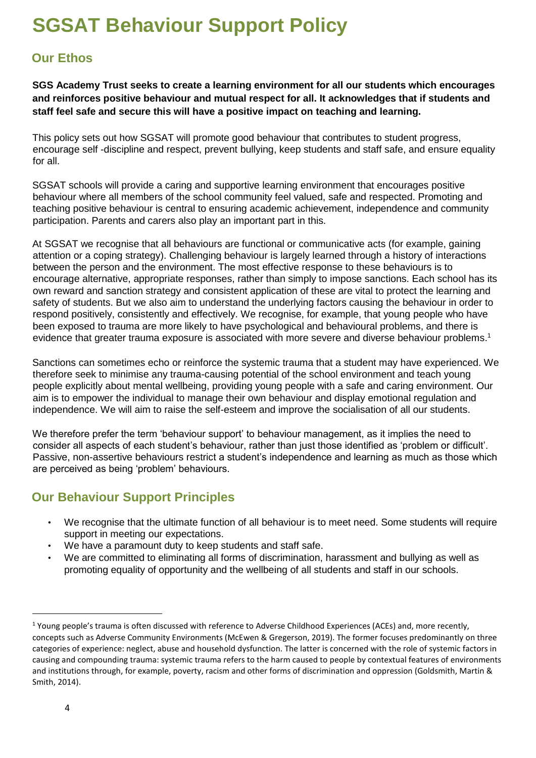# **SGSAT Behaviour Support Policy**

# **Our Ethos**

**SGS Academy Trust seeks to create a learning environment for all our students which encourages and reinforces positive behaviour and mutual respect for all. It acknowledges that if students and staff feel safe and secure this will have a positive impact on teaching and learning.** 

This policy sets out how SGSAT will promote good behaviour that contributes to student progress, encourage self -discipline and respect, prevent bullying, keep students and staff safe, and ensure equality for all.

SGSAT schools will provide a caring and supportive learning environment that encourages positive behaviour where all members of the school community feel valued, safe and respected. Promoting and teaching positive behaviour is central to ensuring academic achievement, independence and community participation. Parents and carers also play an important part in this.

At SGSAT we recognise that all behaviours are functional or communicative acts (for example, gaining attention or a coping strategy). Challenging behaviour is largely learned through a history of interactions between the person and the environment. The most effective response to these behaviours is to encourage alternative, appropriate responses, rather than simply to impose sanctions. Each school has its own reward and sanction strategy and consistent application of these are vital to protect the learning and safety of students. But we also aim to understand the underlying factors causing the behaviour in order to respond positively, consistently and effectively. We recognise, for example, that young people who have been exposed to trauma are more likely to have psychological and behavioural problems, and there is evidence that greater trauma exposure is associated with more severe and diverse behaviour problems.<sup>1</sup>

Sanctions can sometimes echo or reinforce the systemic trauma that a student may have experienced. We therefore seek to minimise any trauma-causing potential of the school environment and teach young people explicitly about mental wellbeing, providing young people with a safe and caring environment. Our aim is to empower the individual to manage their own behaviour and display emotional regulation and independence. We will aim to raise the self-esteem and improve the socialisation of all our students.

We therefore prefer the term 'behaviour support' to behaviour management, as it implies the need to consider all aspects of each student's behaviour, rather than just those identified as 'problem or difficult'. Passive, non-assertive behaviours restrict a student's independence and learning as much as those which are perceived as being 'problem' behaviours.

# **Our Behaviour Support Principles**

- We recognise that the ultimate function of all behaviour is to meet need. Some students will require support in meeting our expectations.
- We have a paramount duty to keep students and staff safe.
- We are committed to eliminating all forms of discrimination, harassment and bullying as well as promoting equality of opportunity and the wellbeing of all students and staff in our schools.

-

<sup>&</sup>lt;sup>1</sup> Young people's trauma is often discussed with reference to Adverse Childhood Experiences (ACEs) and, more recently, concepts such as Adverse Community Environments (McEwen & Gregerson, 2019). The former focuses predominantly on three categories of experience: neglect, abuse and household dysfunction. The latter is concerned with the role of systemic factors in causing and compounding trauma: systemic trauma refers to the harm caused to people by contextual features of environments and institutions through, for example, poverty, racism and other forms of discrimination and oppression (Goldsmith, Martin & Smith, 2014).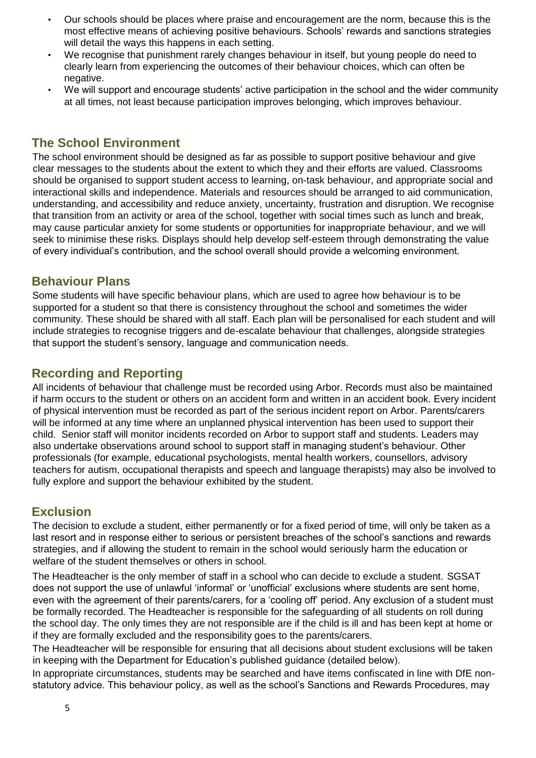- Our schools should be places where praise and encouragement are the norm, because this is the most effective means of achieving positive behaviours. Schools' rewards and sanctions strategies will detail the ways this happens in each setting.
- We recognise that punishment rarely changes behaviour in itself, but young people do need to clearly learn from experiencing the outcomes of their behaviour choices, which can often be negative.
- We will support and encourage students' active participation in the school and the wider community at all times, not least because participation improves belonging, which improves behaviour.

## **The School Environment**

The school environment should be designed as far as possible to support positive behaviour and give clear messages to the students about the extent to which they and their efforts are valued. Classrooms should be organised to support student access to learning, on-task behaviour, and appropriate social and interactional skills and independence. Materials and resources should be arranged to aid communication, understanding, and accessibility and reduce anxiety, uncertainty, frustration and disruption. We recognise that transition from an activity or area of the school, together with social times such as lunch and break, may cause particular anxiety for some students or opportunities for inappropriate behaviour, and we will seek to minimise these risks. Displays should help develop self-esteem through demonstrating the value of every individual's contribution, and the school overall should provide a welcoming environment.

#### **Behaviour Plans**

Some students will have specific behaviour plans, which are used to agree how behaviour is to be supported for a student so that there is consistency throughout the school and sometimes the wider community. These should be shared with all staff. Each plan will be personalised for each student and will include strategies to recognise triggers and de-escalate behaviour that challenges, alongside strategies that support the student's sensory, language and communication needs.

# **Recording and Reporting**

All incidents of behaviour that challenge must be recorded using Arbor. Records must also be maintained if harm occurs to the student or others on an accident form and written in an accident book. Every incident of physical intervention must be recorded as part of the serious incident report on Arbor. Parents/carers will be informed at any time where an unplanned physical intervention has been used to support their child. Senior staff will monitor incidents recorded on Arbor to support staff and students. Leaders may also undertake observations around school to support staff in managing student's behaviour. Other professionals (for example, educational psychologists, mental health workers, counsellors, advisory teachers for autism, occupational therapists and speech and language therapists) may also be involved to fully explore and support the behaviour exhibited by the student.

## **Exclusion**

The decision to exclude a student, either permanently or for a fixed period of time, will only be taken as a last resort and in response either to serious or persistent breaches of the school's sanctions and rewards strategies, and if allowing the student to remain in the school would seriously harm the education or welfare of the student themselves or others in school.

The Headteacher is the only member of staff in a school who can decide to exclude a student. SGSAT does not support the use of unlawful 'informal' or 'unofficial' exclusions where students are sent home, even with the agreement of their parents/carers, for a 'cooling off' period. Any exclusion of a student must be formally recorded. The Headteacher is responsible for the safeguarding of all students on roll during the school day. The only times they are not responsible are if the child is ill and has been kept at home or if they are formally excluded and the responsibility goes to the parents/carers.

The Headteacher will be responsible for ensuring that all decisions about student exclusions will be taken in keeping with the Department for Education's published guidance (detailed below).

In appropriate circumstances, students may be searched and have items confiscated in line with DfE nonstatutory advice. This behaviour policy, as well as the school's Sanctions and Rewards Procedures, may